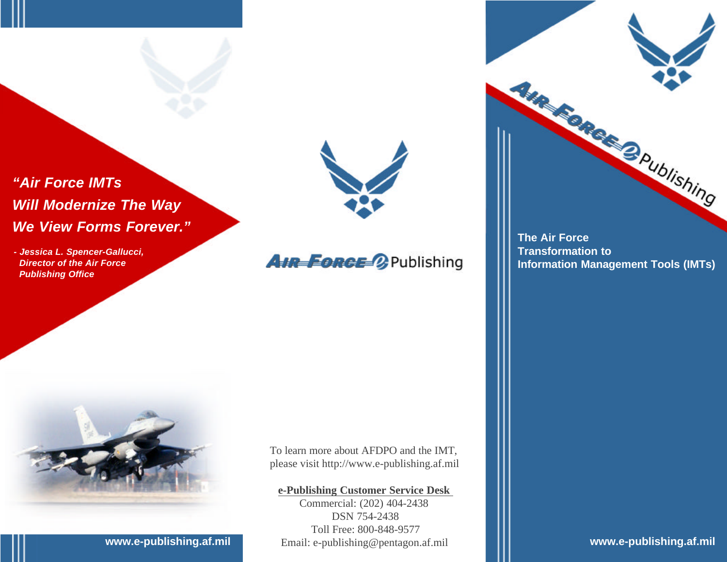## *"Air Force IMTs Will Modernize The Way We View Forms Forever."*

*- Jessica L. Spencer-Gallucci, Director of the Air Force Publishing Office*



## **AIR FORCE OP Publishing**

**The Air Force Transformation to Information Management Tools (IMTs)**

Ave. Echeck Opublishing



To learn more about AFDPO and the IMT, please visit http://www.e-publishing.af.mil

#### **e-Publishing Customer Service Desk**

Commercial: (202) 404-2438 DSN 754-2438 Toll Free: 800-848-9577 www.e-publishing.af.mil Email: e-publishing@pentagon.af.mil |||| www.e-publishing.af.mil